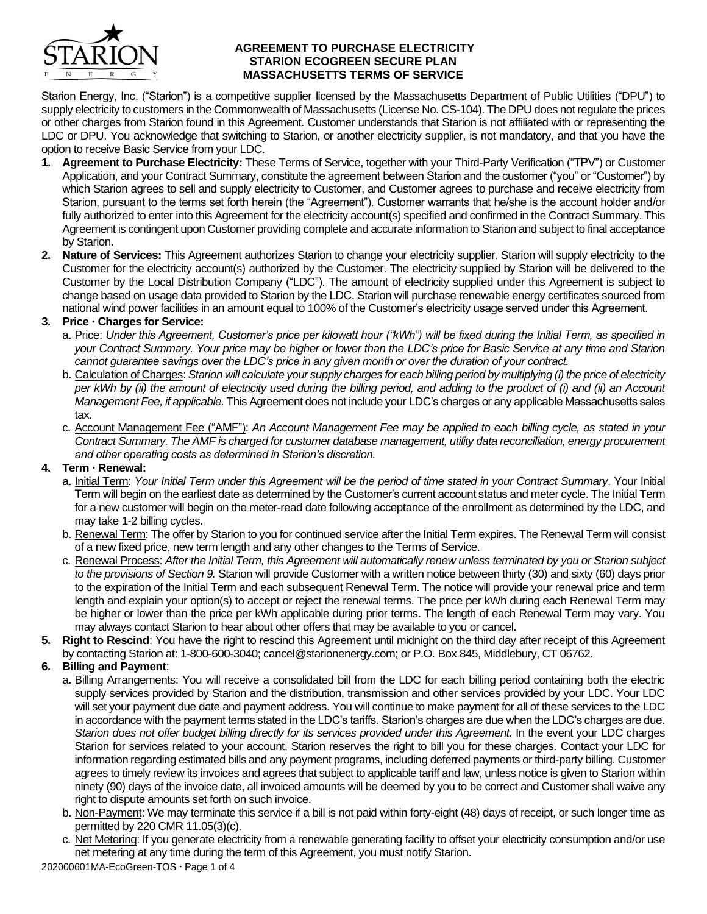

#### **AGREEMENT TO PURCHASE ELECTRICITY STARION ECOGREEN SECURE PLAN MASSACHUSETTS TERMS OF SERVICE**

Starion Energy, Inc. ("Starion") is a competitive supplier licensed by the Massachusetts Department of Public Utilities ("DPU") to supply electricity to customers in the Commonwealth of Massachusetts (License No. CS-104). The DPU does not regulate the prices or other charges from Starion found in this Agreement. Customer understands that Starion is not affiliated with or representing the LDC or DPU. You acknowledge that switching to Starion, or another electricity supplier, is not mandatory, and that you have the option to receive Basic Service from your LDC.

- **1. Agreement to Purchase Electricity:** These Terms of Service, together with your Third-Party Verification ("TPV") or Customer Application, and your Contract Summary, constitute the agreement between Starion and the customer ("you" or "Customer") by which Starion agrees to sell and supply electricity to Customer, and Customer agrees to purchase and receive electricity from Starion, pursuant to the terms set forth herein (the "Agreement"). Customer warrants that he/she is the account holder and/or fully authorized to enter into this Agreement for the electricity account(s) specified and confirmed in the Contract Summary. This Agreement is contingent upon Customer providing complete and accurate information to Starion and subject to final acceptance by Starion.
- **2. Nature of Services:** This Agreement authorizes Starion to change your electricity supplier. Starion will supply electricity to the Customer for the electricity account(s) authorized by the Customer. The electricity supplied by Starion will be delivered to the Customer by the Local Distribution Company ("LDC"). The amount of electricity supplied under this Agreement is subject to change based on usage data provided to Starion by the LDC. Starion will purchase renewable energy certificates sourced from national wind power facilities in an amount equal to 100% of the Customer's electricity usage served under this Agreement.

## **3. Price Charges for Service:**

- a. Price: *Under this Agreement, Customer's price per kilowatt hour ("kWh") will be fixed during the Initial Term, as specified in your Contract Summary. Your price may be higher or lower than the LDC's price for Basic Service at any time and Starion cannot guarantee savings over the LDC's price in any given month or over the duration of your contract.*
- b. Calculation of Charges: *Starion will calculate your supply charges for each billing period by multiplying (i) the price of electricity per kWh by (ii) the amount of electricity used during the billing period, and adding to the product of (i) and (ii) an Account Management Fee, if applicable.* This Agreement does not include your LDC's charges or any applicable Massachusetts sales tax.
- c. Account Management Fee ("AMF"): *An Account Management Fee may be applied to each billing cycle, as stated in your Contract Summary. The AMF is charged for customer database management, utility data reconciliation, energy procurement and other operating costs as determined in Starion's discretion.*

# **4. Term Renewal:**

- a. Initial Term: *Your Initial Term under this Agreement will be the period of time stated in your Contract Summary*. Your Initial Term will begin on the earliest date as determined by the Customer's current account status and meter cycle. The Initial Term for a new customer will begin on the meter-read date following acceptance of the enrollment as determined by the LDC, and may take 1-2 billing cycles.
- b. Renewal Term: The offer by Starion to you for continued service after the Initial Term expires. The Renewal Term will consist of a new fixed price, new term length and any other changes to the Terms of Service.
- c. Renewal Process: *After the Initial Term, this Agreement will automatically renew unless terminated by you or Starion subject to the provisions of Section 9.* Starion will provide Customer with a written notice between thirty (30) and sixty (60) days prior to the expiration of the Initial Term and each subsequent Renewal Term. The notice will provide your renewal price and term length and explain your option(s) to accept or reject the renewal terms. The price per kWh during each Renewal Term may be higher or lower than the price per kWh applicable during prior terms. The length of each Renewal Term may vary. You may always contact Starion to hear about other offers that may be available to you or cancel.
- **5. Right to Rescind**: You have the right to rescind this Agreement until midnight on the third day after receipt of this Agreement by contacting Starion at: 1-800-600-3040; cancel@starionenergy.com; or P.O. Box 845, Middlebury, CT 06762.

# **6. Billing and Payment**:

- a. Billing Arrangements: You will receive a consolidated bill from the LDC for each billing period containing both the electric supply services provided by Starion and the distribution, transmission and other services provided by your LDC. Your LDC will set your payment due date and payment address. You will continue to make payment for all of these services to the LDC in accordance with the payment terms stated in the LDC's tariffs. Starion's charges are due when the LDC's charges are due. *Starion does not offer budget billing directly for its services provided under this Agreement.* In the event your LDC charges Starion for services related to your account, Starion reserves the right to bill you for these charges. Contact your LDC for information regarding estimated bills and any payment programs, including deferred payments or third-party billing. Customer agrees to timely review its invoices and agrees that subject to applicable tariff and law, unless notice is given to Starion within ninety (90) days of the invoice date, all invoiced amounts will be deemed by you to be correct and Customer shall waive any right to dispute amounts set forth on such invoice.
- b. Non-Payment: We may terminate this service if a bill is not paid within forty-eight (48) days of receipt, or such longer time as permitted by 220 CMR 11.05(3)(c).
- c. Net Metering: If you generate electricity from a renewable generating facility to offset your electricity consumption and/or use net metering at any time during the term of this Agreement, you must notify Starion.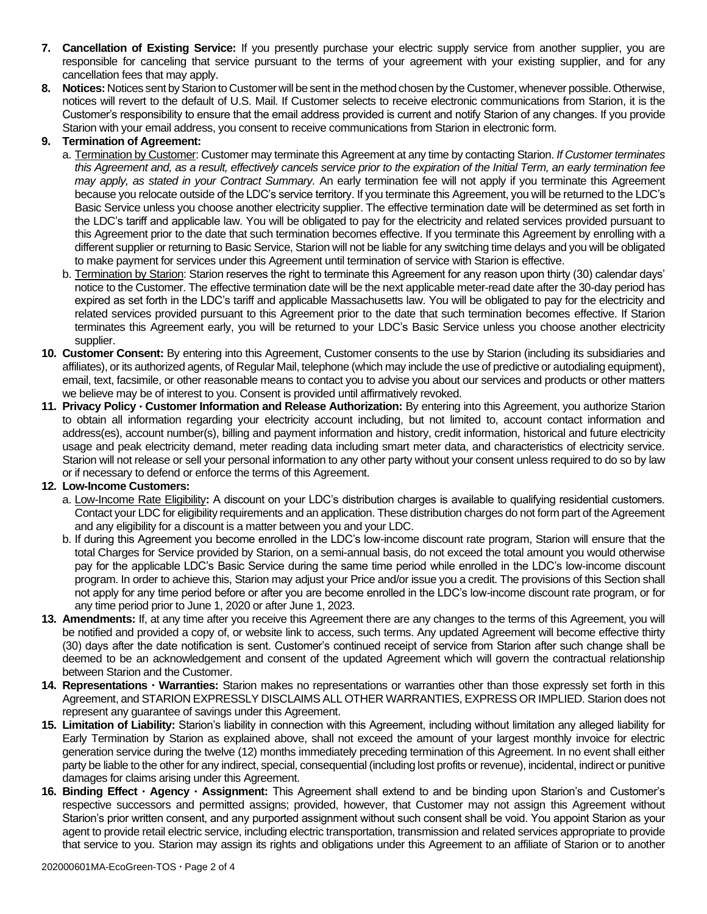- **7. Cancellation of Existing Service:** If you presently purchase your electric supply service from another supplier, you are responsible for canceling that service pursuant to the terms of your agreement with your existing supplier, and for any cancellation fees that may apply.
- **8. Notices:** Notices sent by Starion to Customer will be sent in the method chosen by the Customer, whenever possible. Otherwise, notices will revert to the default of U.S. Mail. If Customer selects to receive electronic communications from Starion, it is the Customer's responsibility to ensure that the email address provided is current and notify Starion of any changes. If you provide Starion with your email address, you consent to receive communications from Starion in electronic form.

## **9. Termination of Agreement:**

- a. Termination by Customer: Customer may terminate this Agreement at any time by contacting Starion. *If Customer terminates this Agreement and, as a result, effectively cancels service prior to the expiration of the Initial Term, an early termination fee may apply, as stated in your Contract Summary.* An early termination fee will not apply if you terminate this Agreement because you relocate outside of the LDC's service territory. If you terminate this Agreement, you will be returned to the LDC's Basic Service unless you choose another electricity supplier. The effective termination date will be determined as set forth in the LDC's tariff and applicable law. You will be obligated to pay for the electricity and related services provided pursuant to this Agreement prior to the date that such termination becomes effective. If you terminate this Agreement by enrolling with a different supplier or returning to Basic Service, Starion will not be liable for any switching time delays and you will be obligated to make payment for services under this Agreement until termination of service with Starion is effective.
- b. Termination by Starion: Starion reserves the right to terminate this Agreement for any reason upon thirty (30) calendar days' notice to the Customer. The effective termination date will be the next applicable meter-read date after the 30-day period has expired as set forth in the LDC's tariff and applicable Massachusetts law. You will be obligated to pay for the electricity and related services provided pursuant to this Agreement prior to the date that such termination becomes effective. If Starion terminates this Agreement early, you will be returned to your LDC's Basic Service unless you choose another electricity supplier.
- **10. Customer Consent:** By entering into this Agreement, Customer consents to the use by Starion (including its subsidiaries and affiliates), or its authorized agents, of Regular Mail, telephone (which may include the use of predictive or autodialing equipment), email, text, facsimile, or other reasonable means to contact you to advise you about our services and products or other matters we believe may be of interest to you. Consent is provided until affirmatively revoked.
- **11. Privacy Policy Customer Information and Release Authorization:** By entering into this Agreement, you authorize Starion to obtain all information regarding your electricity account including, but not limited to, account contact information and address(es), account number(s), billing and payment information and history, credit information, historical and future electricity usage and peak electricity demand, meter reading data including smart meter data, and characteristics of electricity service. Starion will not release or sell your personal information to any other party without your consent unless required to do so by law or if necessary to defend or enforce the terms of this Agreement.

## **12. Low-Income Customers:**

- a. Low-Income Rate Eligibility**:** A discount on your LDC's distribution charges is available to qualifying residential customers. Contact your LDC for eligibility requirements and an application. These distribution charges do not form part of the Agreement and any eligibility for a discount is a matter between you and your LDC.
- b. If during this Agreement you become enrolled in the LDC's low-income discount rate program, Starion will ensure that the total Charges for Service provided by Starion, on a semi-annual basis, do not exceed the total amount you would otherwise pay for the applicable LDC's Basic Service during the same time period while enrolled in the LDC's low-income discount program. In order to achieve this, Starion may adjust your Price and/or issue you a credit. The provisions of this Section shall not apply for any time period before or after you are become enrolled in the LDC's low-income discount rate program, or for any time period prior to June 1, 2020 or after June 1, 2023.
- **13. Amendments:** If, at any time after you receive this Agreement there are any changes to the terms of this Agreement, you will be notified and provided a copy of, or website link to access, such terms. Any updated Agreement will become effective thirty (30) days after the date notification is sent. Customer's continued receipt of service from Starion after such change shall be deemed to be an acknowledgement and consent of the updated Agreement which will govern the contractual relationship between Starion and the Customer.
- **14. Representations Warranties:** Starion makes no representations or warranties other than those expressly set forth in this Agreement, and STARION EXPRESSLY DISCLAIMS ALL OTHER WARRANTIES, EXPRESS OR IMPLIED. Starion does not represent any guarantee of savings under this Agreement.
- **15. Limitation of Liability:** Starion's liability in connection with this Agreement, including without limitation any alleged liability for Early Termination by Starion as explained above, shall not exceed the amount of your largest monthly invoice for electric generation service during the twelve (12) months immediately preceding termination of this Agreement. In no event shall either party be liable to the other for any indirect, special, consequential (including lost profits or revenue), incidental, indirect or punitive damages for claims arising under this Agreement.
- **16. Binding Effect Agency Assignment:** This Agreement shall extend to and be binding upon Starion's and Customer's respective successors and permitted assigns; provided, however, that Customer may not assign this Agreement without Starion's prior written consent, and any purported assignment without such consent shall be void. You appoint Starion as your agent to provide retail electric service, including electric transportation, transmission and related services appropriate to provide that service to you. Starion may assign its rights and obligations under this Agreement to an affiliate of Starion or to another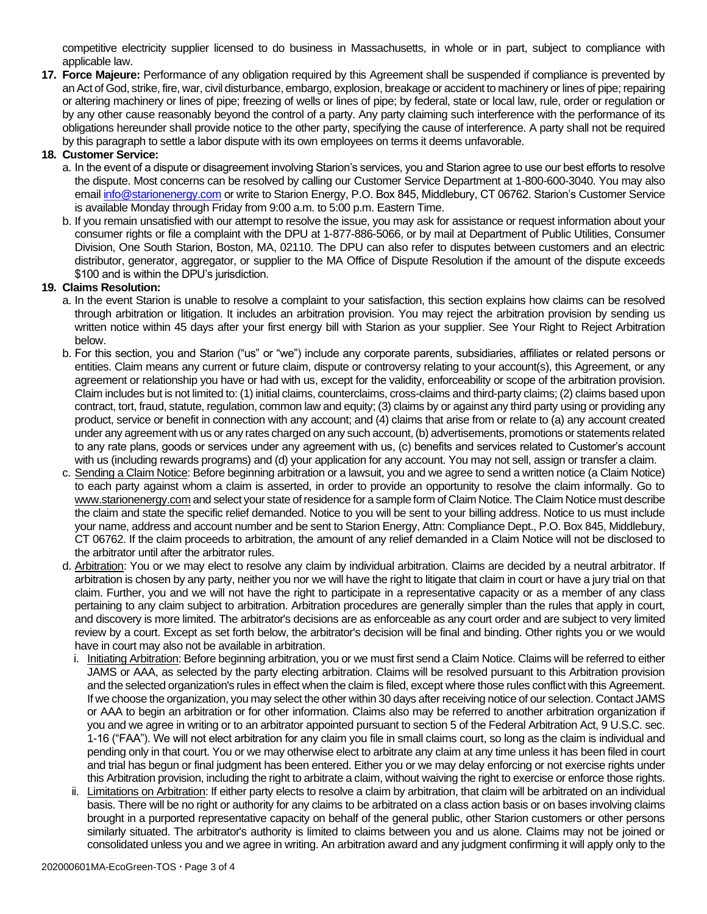competitive electricity supplier licensed to do business in Massachusetts, in whole or in part, subject to compliance with applicable law.

**17. Force Majeure:** Performance of any obligation required by this Agreement shall be suspended if compliance is prevented by an Act of God, strike, fire, war, civil disturbance, embargo, explosion, breakage or accident to machinery or lines of pipe; repairing or altering machinery or lines of pipe; freezing of wells or lines of pipe; by federal, state or local law, rule, order or regulation or by any other cause reasonably beyond the control of a party. Any party claiming such interference with the performance of its obligations hereunder shall provide notice to the other party, specifying the cause of interference. A party shall not be required by this paragraph to settle a labor dispute with its own employees on terms it deems unfavorable.

## **18. Customer Service:**

- a. In the event of a dispute or disagreement involving Starion's services, you and Starion agree to use our best efforts to resolve the dispute. Most concerns can be resolved by calling our Customer Service Department at 1-800-600-3040. You may also emai[l info@starionenergy.com](mailto:info@starionenergy.com) or write to Starion Energy, P.O. Box 845, Middlebury, CT 06762. Starion's Customer Service is available Monday through Friday from 9:00 a.m. to 5:00 p.m. Eastern Time.
- b. If you remain unsatisfied with our attempt to resolve the issue, you may ask for assistance or request information about your consumer rights or file a complaint with the DPU at 1-877-886-5066, or by mail at Department of Public Utilities, Consumer Division, One South Starion, Boston, MA, 02110. The DPU can also refer to disputes between customers and an electric distributor, generator, aggregator, or supplier to the MA Office of Dispute Resolution if the amount of the dispute exceeds \$100 and is within the DPU's jurisdiction.

## **19. Claims Resolution:**

- a. In the event Starion is unable to resolve a complaint to your satisfaction, this section explains how claims can be resolved through arbitration or litigation. It includes an arbitration provision. You may reject the arbitration provision by sending us written notice within 45 days after your first energy bill with Starion as your supplier. See Your Right to Reject Arbitration below.
- b. For this section, you and Starion ("us" or "we") include any corporate parents, subsidiaries, affiliates or related persons or entities. Claim means any current or future claim, dispute or controversy relating to your account(s), this Agreement, or any agreement or relationship you have or had with us, except for the validity, enforceability or scope of the arbitration provision. Claim includes but is not limited to: (1) initial claims, counterclaims, cross-claims and third-party claims; (2) claims based upon contract, tort, fraud, statute, regulation, common law and equity; (3) claims by or against any third party using or providing any product, service or benefit in connection with any account; and (4) claims that arise from or relate to (a) any account created under any agreement with us or any rates charged on any such account, (b) advertisements, promotions or statements related to any rate plans, goods or services under any agreement with us, (c) benefits and services related to Customer's account with us (including rewards programs) and (d) your application for any account. You may not sell, assign or transfer a claim.
- c. Sending a Claim Notice: Before beginning arbitration or a lawsuit, you and we agree to send a written notice (a Claim Notice) to each party against whom a claim is asserted, in order to provide an opportunity to resolve the claim informally. Go to www.starionenergy.com and select your state of residence for a sample form of Claim Notice. The Claim Notice must describe the claim and state the specific relief demanded. Notice to you will be sent to your billing address. Notice to us must include your name, address and account number and be sent to Starion Energy, Attn: Compliance Dept., P.O. Box 845, Middlebury, CT 06762. If the claim proceeds to arbitration, the amount of any relief demanded in a Claim Notice will not be disclosed to the arbitrator until after the arbitrator rules.
- d. Arbitration: You or we may elect to resolve any claim by individual arbitration. Claims are decided by a neutral arbitrator. If arbitration is chosen by any party, neither you nor we will have the right to litigate that claim in court or have a jury trial on that claim. Further, you and we will not have the right to participate in a representative capacity or as a member of any class pertaining to any claim subject to arbitration. Arbitration procedures are generally simpler than the rules that apply in court, and discovery is more limited. The arbitrator's decisions are as enforceable as any court order and are subject to very limited review by a court. Except as set forth below, the arbitrator's decision will be final and binding. Other rights you or we would have in court may also not be available in arbitration.
	- i. Initiating Arbitration: Before beginning arbitration, you or we must first send a Claim Notice. Claims will be referred to either JAMS or AAA, as selected by the party electing arbitration. Claims will be resolved pursuant to this Arbitration provision and the selected organization's rules in effect when the claim is filed, except where those rules conflict with this Agreement. If we choose the organization, you may select the other within 30 days after receiving notice of our selection. Contact JAMS or AAA to begin an arbitration or for other information. Claims also may be referred to another arbitration organization if you and we agree in writing or to an arbitrator appointed pursuant to section 5 of the Federal Arbitration Act, 9 U.S.C. sec. 1-16 ("FAA"). We will not elect arbitration for any claim you file in small claims court, so long as the claim is individual and pending only in that court. You or we may otherwise elect to arbitrate any claim at any time unless it has been filed in court and trial has begun or final judgment has been entered. Either you or we may delay enforcing or not exercise rights under this Arbitration provision, including the right to arbitrate a claim, without waiving the right to exercise or enforce those rights.
	- ii. Limitations on Arbitration: If either party elects to resolve a claim by arbitration, that claim will be arbitrated on an individual basis. There will be no right or authority for any claims to be arbitrated on a class action basis or on bases involving claims brought in a purported representative capacity on behalf of the general public, other Starion customers or other persons similarly situated. The arbitrator's authority is limited to claims between you and us alone. Claims may not be joined or consolidated unless you and we agree in writing. An arbitration award and any judgment confirming it will apply only to the